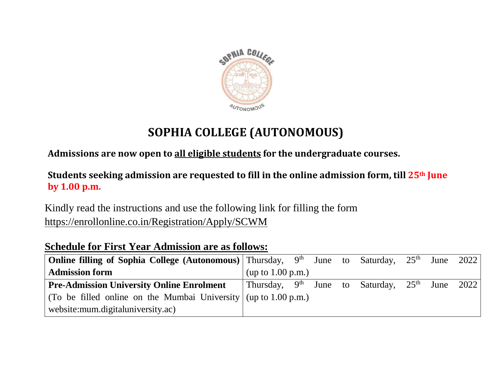

## **SOPHIA COLLEGE (AUTONOMOUS)**

**Admissions are now open to all eligible students for the undergraduate courses.**

**Students seeking admission are requested to fill in the online admission form, till 25th June by 1.00 p.m.**

Kindly read the instructions and use the following link for filling the form <https://enrollonline.co.in/Registration/Apply/SCWM>

## **Schedule for First Year Admission are as follows:**

| <b>Online filling of Sophia College (Autonomous)</b> Thursday, $9th$ June to Saturday, $25th$ June 2022 |                                                            |  |  |  |  |  |  |  |
|---------------------------------------------------------------------------------------------------------|------------------------------------------------------------|--|--|--|--|--|--|--|
| <b>Admission form</b>                                                                                   | (up to $1.00$ p.m.)                                        |  |  |  |  |  |  |  |
| <b>Pre-Admission University Online Enrolment</b>                                                        | Thursday, $9^{th}$ June to Saturday, $25^{th}$ June $2022$ |  |  |  |  |  |  |  |
| (To be filled online on the Mumbai University $\frac{1}{1}$ (up to 1.00 p.m.)                           |                                                            |  |  |  |  |  |  |  |
| website: mum.digitaluniversity.ac)                                                                      |                                                            |  |  |  |  |  |  |  |